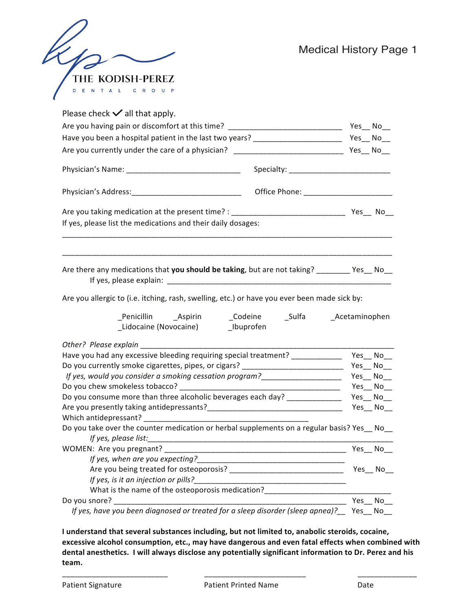|                                     | Medi |
|-------------------------------------|------|
| THE KODISH-PEREZ                    |      |
| U P<br>D<br>Е<br>$\circ$<br>R<br>C. |      |

| Please check $\checkmark$ all that apply.                                                     |         |
|-----------------------------------------------------------------------------------------------|---------|
| Are you having pain or discomfort at this time? _________________________________ Yes__ No__  |         |
| Have you been a hospital patient in the last two years? __________________________ Yes__ No__ |         |
|                                                                                               |         |
|                                                                                               |         |
|                                                                                               |         |
|                                                                                               |         |
| If yes, please list the medications and their daily dosages:                                  |         |
| Are there any medications that you should be taking, but are not taking? _________ Yes__ No__ |         |
| Are you allergic to (i.e. itching, rash, swelling, etc.) or have you ever been made sick by:  |         |
|                                                                                               |         |
| Other? Please explain                                                                         |         |
| Have you had any excessive bleeding requiring special treatment? _______________ Yes__ No__   |         |
|                                                                                               |         |
|                                                                                               |         |
|                                                                                               |         |
| Do you consume more than three alcoholic beverages each day? ___________________ Yes__ No__   |         |
|                                                                                               |         |
|                                                                                               |         |
| Do you take over the counter medication or herbal supplements on a regular basis? Yes No      |         |
|                                                                                               |         |
|                                                                                               |         |
| If yes, when are you expecting?                                                               |         |
|                                                                                               | Yes_No_ |
| If yes, is it an injection or pills?                                                          |         |
| What is the name of the osteoporosis medication?                                              |         |
| Do you snore?                                                                                 |         |
|                                                                                               | Yes No  |

I understand that several substances including, but not limited to, anabolic steroids, cocaine, excessive alcohol consumption, etc., may have dangerous and even fatal effects when combined with dental anesthetics. I will always disclose any potentially significant information to Dr. Perez and his **team.**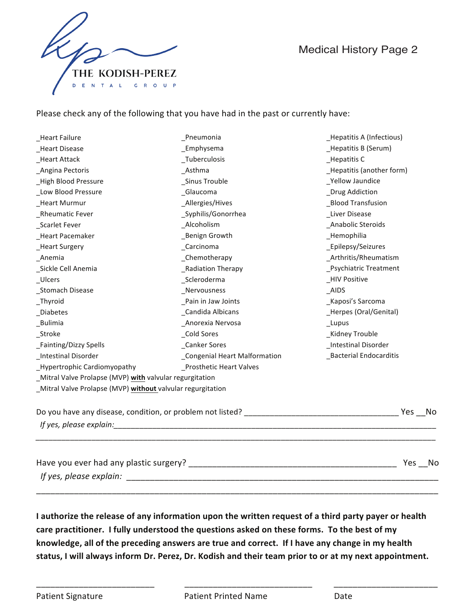



Please check any of the following that you have had in the past or currently have:

| Emphysema<br>Hepatitis B (Serum)<br>Tuberculosis<br>Hepatitis C<br>Asthma<br>Hepatitis (another form)<br>Sinus Trouble<br><b>Yellow Jaundice</b><br>Glaucoma<br>_Drug Addiction<br>Allergies/Hives<br><b>Blood Transfusion</b><br>_Syphilis/Gonorrhea<br>Liver Disease<br>Alcoholism<br>Anabolic Steroids<br>_Benign Growth<br>_Hemophilia<br>Carcinoma<br>_Epilepsy/Seizures<br>_Chemotherapy<br>_Arthritis/Rheumatism<br>_Radiation Therapy<br><b>Psychiatric Treatment</b><br>Scleroderma<br><b>HIV Positive</b><br>Nervousness<br>AIDS<br>Pain in Jaw Joints<br>_Kaposi's Sarcoma<br>Candida Albicans<br>_Herpes (Oral/Genital)<br>Anorexia Nervosa<br>$_{\_}$ Lupus<br><b>Cold Sores</b><br>_Kidney Trouble<br><b>Canker Sores</b><br>_Intestinal Disorder<br><b>Congenial Heart Malformation</b><br><b>Bacterial Endocarditis</b><br><b>Prosthetic Heart Valves</b><br>_Mitral Valve Prolapse (MVP) with valvular regurgitation<br>_Mitral Valve Prolapse (MVP) without valvular regurgitation<br>If yes, please explain: | _Heart Failure                     | _Pneumonia | _Hepatitis A (Infectious) |
|---------------------------------------------------------------------------------------------------------------------------------------------------------------------------------------------------------------------------------------------------------------------------------------------------------------------------------------------------------------------------------------------------------------------------------------------------------------------------------------------------------------------------------------------------------------------------------------------------------------------------------------------------------------------------------------------------------------------------------------------------------------------------------------------------------------------------------------------------------------------------------------------------------------------------------------------------------------------------------------------------------------------------------|------------------------------------|------------|---------------------------|
|                                                                                                                                                                                                                                                                                                                                                                                                                                                                                                                                                                                                                                                                                                                                                                                                                                                                                                                                                                                                                                 | <b>Heart Disease</b>               |            |                           |
|                                                                                                                                                                                                                                                                                                                                                                                                                                                                                                                                                                                                                                                                                                                                                                                                                                                                                                                                                                                                                                 | <b>Heart Attack</b>                |            |                           |
|                                                                                                                                                                                                                                                                                                                                                                                                                                                                                                                                                                                                                                                                                                                                                                                                                                                                                                                                                                                                                                 | Angina Pectoris                    |            |                           |
|                                                                                                                                                                                                                                                                                                                                                                                                                                                                                                                                                                                                                                                                                                                                                                                                                                                                                                                                                                                                                                 | <b>High Blood Pressure</b>         |            |                           |
|                                                                                                                                                                                                                                                                                                                                                                                                                                                                                                                                                                                                                                                                                                                                                                                                                                                                                                                                                                                                                                 | _Low Blood Pressure                |            |                           |
|                                                                                                                                                                                                                                                                                                                                                                                                                                                                                                                                                                                                                                                                                                                                                                                                                                                                                                                                                                                                                                 | _Heart Murmur                      |            |                           |
|                                                                                                                                                                                                                                                                                                                                                                                                                                                                                                                                                                                                                                                                                                                                                                                                                                                                                                                                                                                                                                 | _Rheumatic Fever                   |            |                           |
|                                                                                                                                                                                                                                                                                                                                                                                                                                                                                                                                                                                                                                                                                                                                                                                                                                                                                                                                                                                                                                 | Scarlet Fever                      |            |                           |
|                                                                                                                                                                                                                                                                                                                                                                                                                                                                                                                                                                                                                                                                                                                                                                                                                                                                                                                                                                                                                                 | _Heart Pacemaker                   |            |                           |
|                                                                                                                                                                                                                                                                                                                                                                                                                                                                                                                                                                                                                                                                                                                                                                                                                                                                                                                                                                                                                                 | <b>Heart Surgery</b>               |            |                           |
|                                                                                                                                                                                                                                                                                                                                                                                                                                                                                                                                                                                                                                                                                                                                                                                                                                                                                                                                                                                                                                 | _Anemia                            |            |                           |
|                                                                                                                                                                                                                                                                                                                                                                                                                                                                                                                                                                                                                                                                                                                                                                                                                                                                                                                                                                                                                                 | _Sickle Cell Anemia                |            |                           |
|                                                                                                                                                                                                                                                                                                                                                                                                                                                                                                                                                                                                                                                                                                                                                                                                                                                                                                                                                                                                                                 | _Ulcers                            |            |                           |
|                                                                                                                                                                                                                                                                                                                                                                                                                                                                                                                                                                                                                                                                                                                                                                                                                                                                                                                                                                                                                                 | <b>Stomach Disease</b>             |            |                           |
|                                                                                                                                                                                                                                                                                                                                                                                                                                                                                                                                                                                                                                                                                                                                                                                                                                                                                                                                                                                                                                 | $_I$ Thyroid                       |            |                           |
|                                                                                                                                                                                                                                                                                                                                                                                                                                                                                                                                                                                                                                                                                                                                                                                                                                                                                                                                                                                                                                 | _Diabetes                          |            |                           |
|                                                                                                                                                                                                                                                                                                                                                                                                                                                                                                                                                                                                                                                                                                                                                                                                                                                                                                                                                                                                                                 | _Bulimia                           |            |                           |
|                                                                                                                                                                                                                                                                                                                                                                                                                                                                                                                                                                                                                                                                                                                                                                                                                                                                                                                                                                                                                                 | Stroke                             |            |                           |
|                                                                                                                                                                                                                                                                                                                                                                                                                                                                                                                                                                                                                                                                                                                                                                                                                                                                                                                                                                                                                                 | _Fainting/Dizzy Spells             |            |                           |
|                                                                                                                                                                                                                                                                                                                                                                                                                                                                                                                                                                                                                                                                                                                                                                                                                                                                                                                                                                                                                                 | <b>Intestinal Disorder</b>         |            |                           |
|                                                                                                                                                                                                                                                                                                                                                                                                                                                                                                                                                                                                                                                                                                                                                                                                                                                                                                                                                                                                                                 | <b>Hypertrophic Cardiomyopathy</b> |            |                           |
|                                                                                                                                                                                                                                                                                                                                                                                                                                                                                                                                                                                                                                                                                                                                                                                                                                                                                                                                                                                                                                 |                                    |            |                           |
|                                                                                                                                                                                                                                                                                                                                                                                                                                                                                                                                                                                                                                                                                                                                                                                                                                                                                                                                                                                                                                 |                                    |            |                           |
|                                                                                                                                                                                                                                                                                                                                                                                                                                                                                                                                                                                                                                                                                                                                                                                                                                                                                                                                                                                                                                 |                                    |            |                           |
|                                                                                                                                                                                                                                                                                                                                                                                                                                                                                                                                                                                                                                                                                                                                                                                                                                                                                                                                                                                                                                 |                                    |            |                           |
|                                                                                                                                                                                                                                                                                                                                                                                                                                                                                                                                                                                                                                                                                                                                                                                                                                                                                                                                                                                                                                 |                                    |            |                           |
|                                                                                                                                                                                                                                                                                                                                                                                                                                                                                                                                                                                                                                                                                                                                                                                                                                                                                                                                                                                                                                 |                                    |            | Yes No                    |
|                                                                                                                                                                                                                                                                                                                                                                                                                                                                                                                                                                                                                                                                                                                                                                                                                                                                                                                                                                                                                                 |                                    |            |                           |

**I** authorize the release of any information upon the written request of a third party payer or health care practitioner. I fully understood the questions asked on these forms. To the best of my knowledge, all of the preceding answers are true and correct. If I have any change in my health status, I will always inform Dr. Perez, Dr. Kodish and their team prior to or at my next appointment.

\_\_\_\_\_\_\_\_\_\_\_\_\_\_\_\_\_\_\_\_\_\_\_\_\_\_\_\_\_\_\_\_\_\_\_\_\_\_\_\_\_\_\_\_\_\_\_\_\_\_\_\_\_\_\_\_\_\_\_\_\_\_\_\_\_\_\_\_\_\_\_\_\_\_\_\_\_\_\_\_\_\_\_\_\_

\_\_\_\_\_\_\_\_\_\_\_\_\_\_\_\_\_\_\_\_\_\_\_\_\_ \_\_\_\_\_\_\_\_\_\_\_\_\_\_\_\_\_\_\_\_\_\_\_\_\_\_\_ \_\_\_\_\_\_\_\_\_\_\_\_\_\_\_\_\_\_\_\_\_\_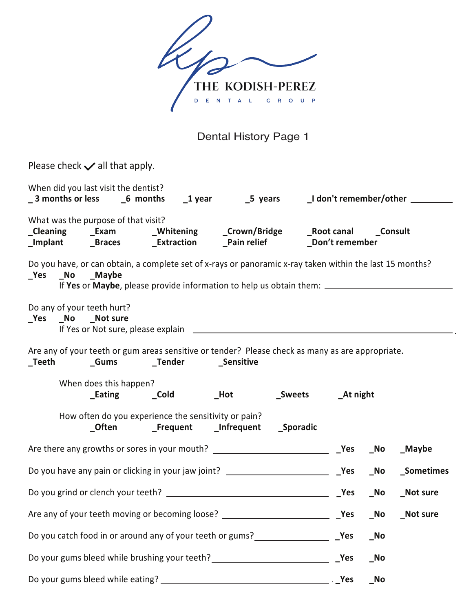

Dental History Page 1

| Please check $\checkmark$ all that apply.                                                                                          |                        |  |                                                      |  |  |     |            |                 |
|------------------------------------------------------------------------------------------------------------------------------------|------------------------|--|------------------------------------------------------|--|--|-----|------------|-----------------|
| When did you last visit the dentist?<br>_3 months or less    _6 months    _1 year      _5 years    _I don't remember/other _______ |                        |  |                                                      |  |  |     |            |                 |
| What was the purpose of that visit?                                                                                                |                        |  |                                                      |  |  |     |            |                 |
| Do you have, or can obtain, a complete set of x-rays or panoramic x-ray taken within the last 15 months?<br>No Maybe               |                        |  |                                                      |  |  |     |            |                 |
| Do any of your teeth hurt?<br>_Yes _No _Not sure                                                                                   |                        |  |                                                      |  |  |     |            |                 |
| Are any of your teeth or gum areas sensitive or tender? Please check as many as are appropriate.                                   |                        |  |                                                      |  |  |     |            |                 |
|                                                                                                                                    | When does this happen? |  |                                                      |  |  |     |            |                 |
|                                                                                                                                    |                        |  | How often do you experience the sensitivity or pain? |  |  |     |            |                 |
|                                                                                                                                    |                        |  |                                                      |  |  |     |            | _Maybe          |
|                                                                                                                                    |                        |  |                                                      |  |  |     | $\sqrt{N}$ | _Sometimes      |
|                                                                                                                                    |                        |  |                                                      |  |  | Yes | $\sqrt{N}$ | <b>Not sure</b> |
|                                                                                                                                    |                        |  |                                                      |  |  |     | $\sqrt{N}$ | Not sure        |
| Do you catch food in or around any of your teeth or gums?<br>Nes                                                                   |                        |  |                                                      |  |  |     | $\sqrt{a}$ |                 |
| Do your gums bleed while brushing your teeth? __________________________________                                                   |                        |  |                                                      |  |  | Yes | $\sqrt{N}$ |                 |
|                                                                                                                                    |                        |  |                                                      |  |  |     | <b>No</b>  |                 |